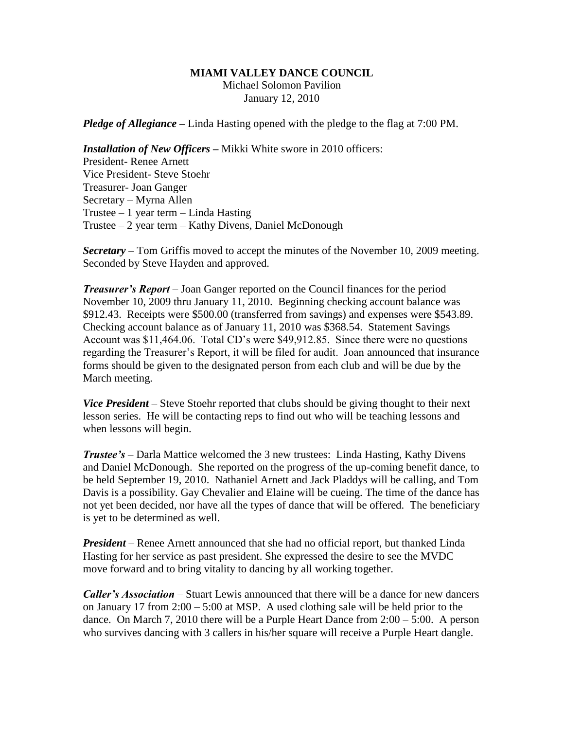### **MIAMI VALLEY DANCE COUNCIL**

Michael Solomon Pavilion January 12, 2010

*Pledge of Allegiance –* Linda Hasting opened with the pledge to the flag at 7:00 PM.

*Installation of New Officers* **–** Mikki White swore in 2010 officers: President- Renee Arnett Vice President- Steve Stoehr Treasurer- Joan Ganger Secretary – Myrna Allen Trustee – 1 year term – Linda Hasting Trustee – 2 year term – Kathy Divens, Daniel McDonough

*Secretary –* Tom Griffis moved to accept the minutes of the November 10, 2009 meeting. Seconded by Steve Hayden and approved.

*Treasurer's Report* – Joan Ganger reported on the Council finances for the period November 10, 2009 thru January 11, 2010. Beginning checking account balance was \$912.43. Receipts were \$500.00 (transferred from savings) and expenses were \$543.89. Checking account balance as of January 11, 2010 was \$368.54. Statement Savings Account was \$11,464.06. Total CD's were \$49,912.85. Since there were no questions regarding the Treasurer's Report, it will be filed for audit. Joan announced that insurance forms should be given to the designated person from each club and will be due by the March meeting.

*Vice President* – Steve Stoehr reported that clubs should be giving thought to their next lesson series. He will be contacting reps to find out who will be teaching lessons and when lessons will begin.

*Trustee's* – Darla Mattice welcomed the 3 new trustees: Linda Hasting, Kathy Divens and Daniel McDonough. She reported on the progress of the up-coming benefit dance, to be held September 19, 2010. Nathaniel Arnett and Jack Pladdys will be calling, and Tom Davis is a possibility. Gay Chevalier and Elaine will be cueing. The time of the dance has not yet been decided, nor have all the types of dance that will be offered. The beneficiary is yet to be determined as well.

*President* – Renee Arnett announced that she had no official report, but thanked Linda Hasting for her service as past president. She expressed the desire to see the MVDC move forward and to bring vitality to dancing by all working together.

*Caller's Association* – Stuart Lewis announced that there will be a dance for new dancers on January 17 from 2:00 – 5:00 at MSP. A used clothing sale will be held prior to the dance. On March 7, 2010 there will be a Purple Heart Dance from 2:00 – 5:00. A person who survives dancing with 3 callers in his/her square will receive a Purple Heart dangle.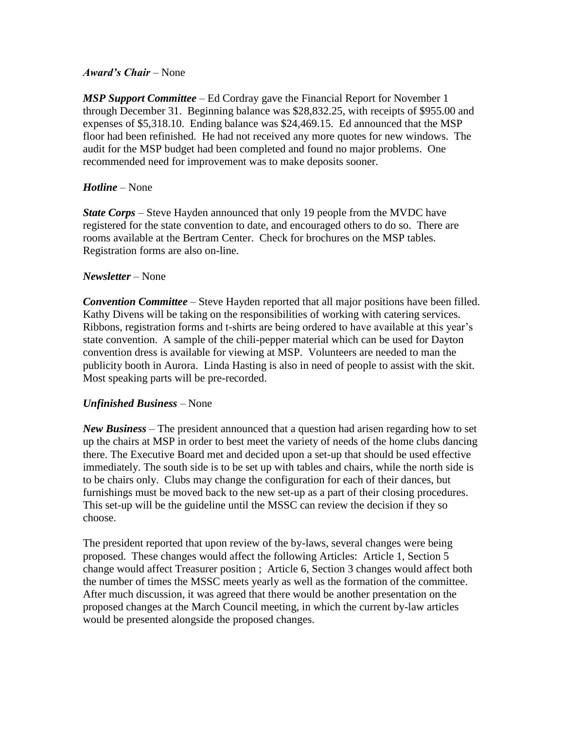# *Award's Chair* – None

*MSP Support Committee* – Ed Cordray gave the Financial Report for November 1 through December 31. Beginning balance was \$28,832.25, with receipts of \$955.00 and expenses of \$5,318.10. Ending balance was \$24,469.15. Ed announced that the MSP floor had been refinished. He had not received any more quotes for new windows. The audit for the MSP budget had been completed and found no major problems. One recommended need for improvement was to make deposits sooner.

# *Hotline* – None

*State Corps* – Steve Hayden announced that only 19 people from the MVDC have registered for the state convention to date, and encouraged others to do so. There are rooms available at the Bertram Center. Check for brochures on the MSP tables. Registration forms are also on-line.

# *Newsletter* – None

*Convention Committee* – Steve Hayden reported that all major positions have been filled. Kathy Divens will be taking on the responsibilities of working with catering services. Ribbons, registration forms and t-shirts are being ordered to have available at this year's state convention. A sample of the chili-pepper material which can be used for Dayton convention dress is available for viewing at MSP. Volunteers are needed to man the publicity booth in Aurora. Linda Hasting is also in need of people to assist with the skit. Most speaking parts will be pre-recorded.

# *Unfinished Business* – None

*New Business* – The president announced that a question had arisen regarding how to set up the chairs at MSP in order to best meet the variety of needs of the home clubs dancing there. The Executive Board met and decided upon a set-up that should be used effective immediately. The south side is to be set up with tables and chairs, while the north side is to be chairs only. Clubs may change the configuration for each of their dances, but furnishings must be moved back to the new set-up as a part of their closing procedures. This set-up will be the guideline until the MSSC can review the decision if they so choose.

The president reported that upon review of the by-laws, several changes were being proposed. These changes would affect the following Articles: Article 1, Section 5 change would affect Treasurer position ; Article 6, Section 3 changes would affect both the number of times the MSSC meets yearly as well as the formation of the committee. After much discussion, it was agreed that there would be another presentation on the proposed changes at the March Council meeting, in which the current by-law articles would be presented alongside the proposed changes.